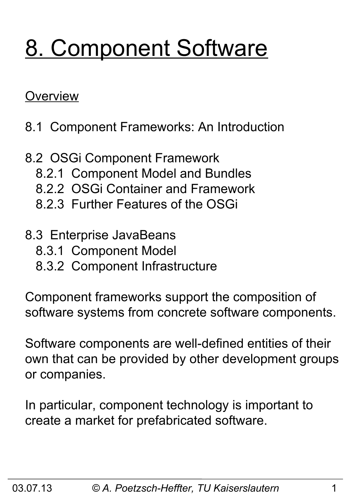# 8. Component Software

#### **Overview**

- 8.1 Component Frameworks: An Introduction
- 8.2 OSGi Component Framework
	- 8.2.1 Component Model and Bundles
	- 8.2.2 OSGi Container and Framework
	- 8.2.3 Further Features of the OSGi
- 8.3 Enterprise JavaBeans
	- 8.3.1 Component Model
	- 8.3.2 Component Infrastructure

Component frameworks support the composition of software systems from concrete software components.

Software components are well-defined entities of their own that can be provided by other development groups or companies.

In particular, component technology is important to create a market for prefabricated software.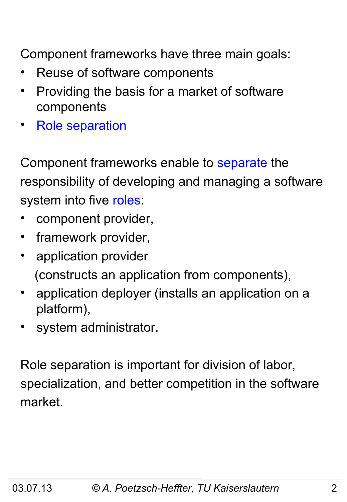Component frameworks have three main goals:

- Reuse of software components
- Providing the basis for a market of software components
- Role separation

Component frameworks enable to separate the responsibility of developing and managing a software system into five roles:

- component provider,
- framework provider,
- application provider (constructs an application from components),
- application deployer (installs an application on a platform),
- system administrator.

Role separation is important for division of labor, specialization, and better competition in the software market.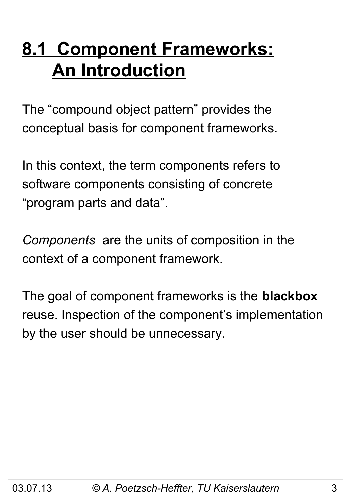# **8.1 Component Frameworks: An Introduction**

The "compound object pattern" provides the conceptual basis for component frameworks.

In this context, the term components refers to software components consisting of concrete "program parts and data".

*Components* are the units of composition in the context of a component framework.

The goal of component frameworks is the **blackbox** reuse. Inspection of the component's implementation by the user should be unnecessary.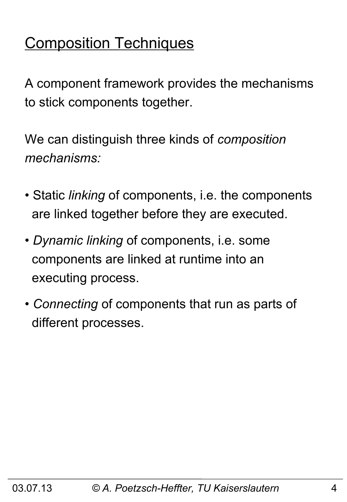# Composition Techniques

A component framework provides the mechanisms to stick components together.

We can distinguish three kinds of *composition mechanisms:*

- Static *linking* of components, i.e. the components are linked together before they are executed.
- *Dynamic linking* of components, i.e. some components are linked at runtime into an executing process.
- *Connecting* of components that run as parts of different processes.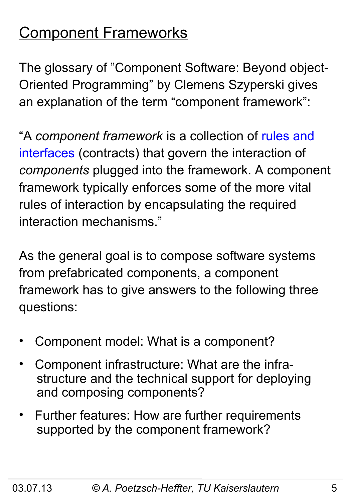# Component Frameworks

The glossary of "Component Software: Beyond object-Oriented Programming" by Clemens Szyperski gives an explanation of the term "component framework":

"A *component framework* is a collection of rules and interfaces (contracts) that govern the interaction of *components* plugged into the framework. A component framework typically enforces some of the more vital rules of interaction by encapsulating the required interaction mechanisms."

As the general goal is to compose software systems from prefabricated components, a component framework has to give answers to the following three questions:

- Component model: What is a component?
- Component infrastructure: What are the infra structure and the technical support for deploying and composing components?
- Further features: How are further requirements supported by the component framework?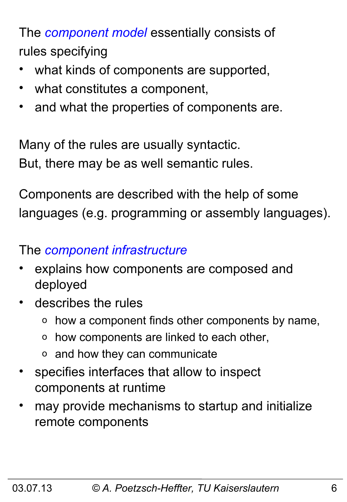The *component model* essentially consists of rules specifying

- what kinds of components are supported,
- what constitutes a component,
- and what the properties of components are.

Many of the rules are usually syntactic. But, there may be as well semantic rules.

Components are described with the help of some languages (e.g. programming or assembly languages).

#### The *component infrastructure*

- explains how components are composed and deployed
- describes the rules
	- o how a component finds other components by name,
	- o how components are linked to each other,
	- o and how they can communicate
- specifies interfaces that allow to inspect components at runtime
- may provide mechanisms to startup and initialize remote components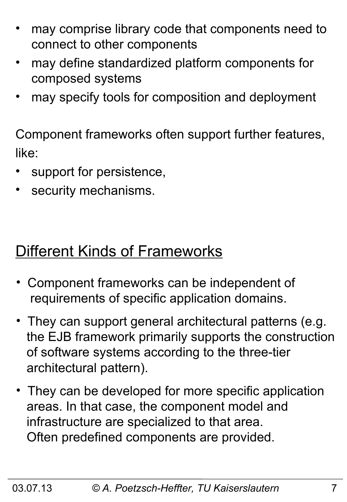- may comprise library code that components need to connect to other components
- may define standardized platform components for composed systems
- may specify tools for composition and deployment

Component frameworks often support further features, like:

- support for persistence,
- security mechanisms.

### Different Kinds of Frameworks

- Component frameworks can be independent of requirements of specific application domains.
- They can support general architectural patterns (e.g. the EJB framework primarily supports the construction of software systems according to the three-tier architectural pattern).
- They can be developed for more specific application areas. In that case, the component model and infrastructure are specialized to that area. Often predefined components are provided.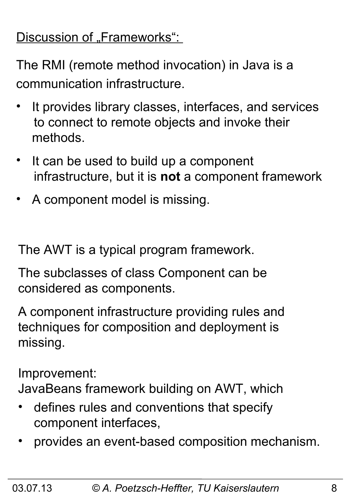### Discussion of "Frameworks":

The RMI (remote method invocation) in Java is a communication infrastructure.

- It provides library classes, interfaces, and services to connect to remote objects and invoke their methods.
- It can be used to build up a component infrastructure, but it is **not** a component framework
- A component model is missing.

The AWT is a typical program framework.

The subclasses of class Component can be considered as components.

A component infrastructure providing rules and techniques for composition and deployment is missing.

Improvement:

JavaBeans framework building on AWT, which

- defines rules and conventions that specify component interfaces,
- provides an event-based composition mechanism.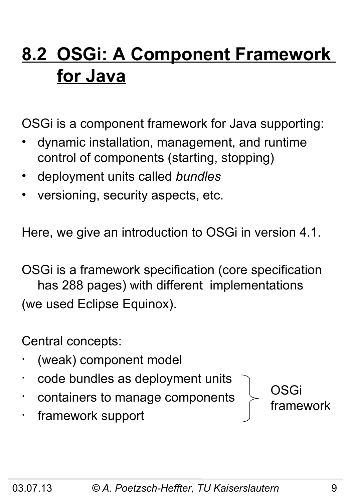# **8.2 OSGi: A Component Framework for Java**

OSGi is a component framework for Java supporting:

- dynamic installation, management, and runtime control of components (starting, stopping)
- deployment units called *bundles*
- versioning, security aspects, etc.

Here, we give an introduction to OSGi in version 4.1.

OSGi is a framework specification (core specification has 288 pages) with different implementations (we used Eclipse Equinox).

Central concepts:

- (weak) component model
- code bundles as deployment units
- containers to manage components
- framework support

03.07.13 *© A. Poetzsch-Heffter, TU Kaiserslautern* 9

OSGi

framework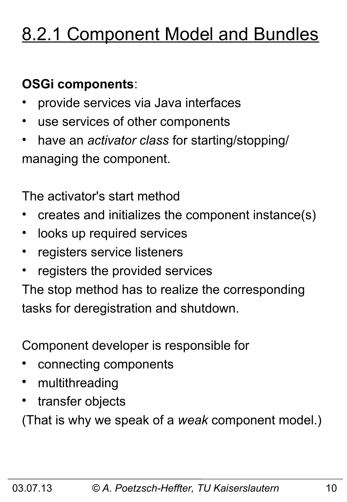# 8.2.1 Component Model and Bundles

### **OSGi components**:

- provide services via Java interfaces
- use services of other components
- have an *activator class* for starting/stopping/ managing the component.

The activator's start method

- creates and initializes the component instance(s)
- looks up required services
- registers service listeners
- registers the provided services

The stop method has to realize the corresponding tasks for deregistration and shutdown.

Component developer is responsible for

- connecting components
- multithreading
- transfer objects

(That is why we speak of a *weak* component model.)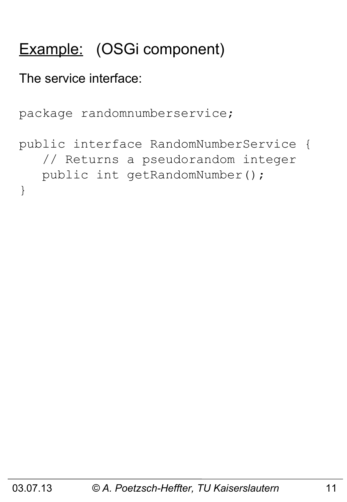# Example: (OSGi component)

The service interface:

```
package randomnumberservice;
public interface RandomNumberService {
    // Returns a pseudorandom integer
    public int getRandomNumber();
}
```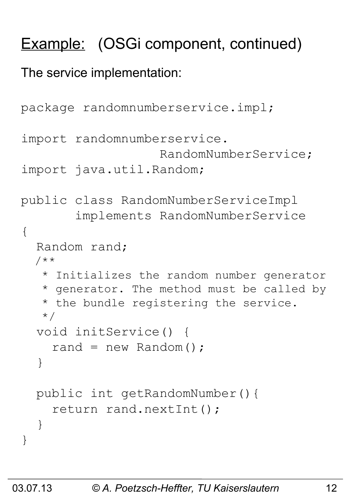# Example: (OSGi component, continued)

The service implementation:

```
package randomnumberservice.impl;
import randomnumberservice.
                     RandomNumberService;
import java.util.Random;
public class RandomNumberServiceImpl 
        implements RandomNumberService
{
   Random rand;
   /**
    * Initializes the random number generator
    * generator. The method must be called by
    * the bundle registering the service.
    */
   void initService() { 
    rand = new Random();
   }
   public int getRandomNumber(){ 
     return rand.nextInt();
   }
}
```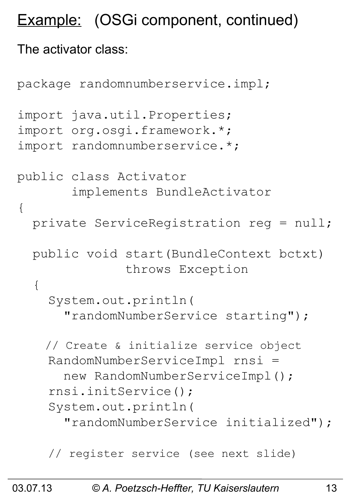# Example: (OSGi component, continued)

#### The activator class:

```
package randomnumberservice.impl;
import java.util.Properties;
import org.osgi.framework.*;
import randomnumberservice.*;
public class Activator 
        implements BundleActivator
{
   private ServiceRegistration reg = null;
   public void start(BundleContext bctxt) 
                throws Exception
   {
     System.out.println(
       "randomNumberService starting"); 
     // Create & initialize service object
     RandomNumberServiceImpl rnsi = 
       new RandomNumberServiceImpl();
     rnsi.initService();
     System.out.println(
       "randomNumberService initialized");
     // register service (see next slide)
```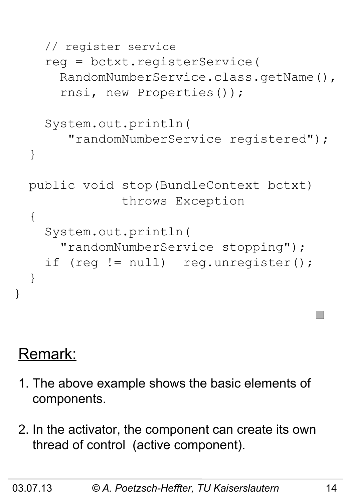```
 // register service
   reg = bctxt.registerService(
     RandomNumberService.class.getName(),
     rnsi, new Properties());
   System.out.println(
      "randomNumberService registered");
 }
 public void stop(BundleContext bctxt)
              throws Exception
\{ System.out.println(
     "randomNumberService stopping");
  if (reg != null) reg.unregister();
 }
```
### Remark:

}

- 1. The above example shows the basic elements of components.
- 2. In the activator, the component can create its own thread of control (active component).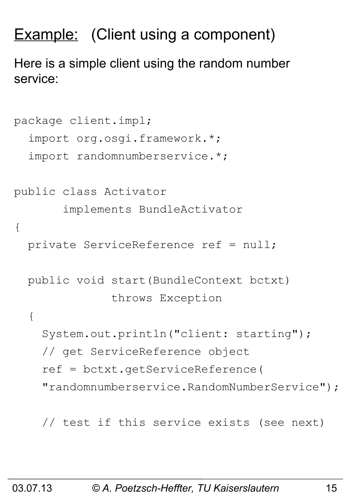# **Example:** (Client using a component)

Here is a simple client using the random number service:

```
package client.impl;
   import org.osgi.framework.*;
   import randomnumberservice.*;
public class Activator 
        implements BundleActivator
{
   private ServiceReference ref = null;
   public void start(BundleContext bctxt)
                throws Exception
   {
     System.out.println("client: starting");
     // get ServiceReference object
     ref = bctxt.getServiceReference(
     "randomnumberservice.RandomNumberService");
```
// test if this service exists (see next)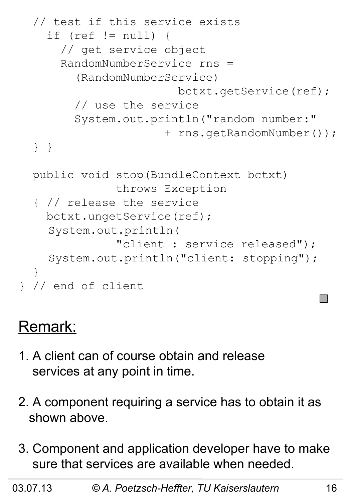```
 // test if this service exists 
     if (ref != null) {
       // get service object
       RandomNumberService rns = 
         (RandomNumberService)
                         bctxt.getService(ref);
         // use the service
         System.out.println("random number:"
                       + rns.getRandomNumber());
   } }
  public void stop(BundleContext bctxt) 
                throws Exception
   { // release the service
     bctxt.ungetService(ref);
    System.out.println(
                "client : service released");
    System.out.println("client: stopping");
   }
} // end of client
```
### Remark:

- 1. A client can of course obtain and release services at any point in time.
- 2. A component requiring a service has to obtain it as shown above.
- 3. Component and application developer have to make sure that services are available when needed.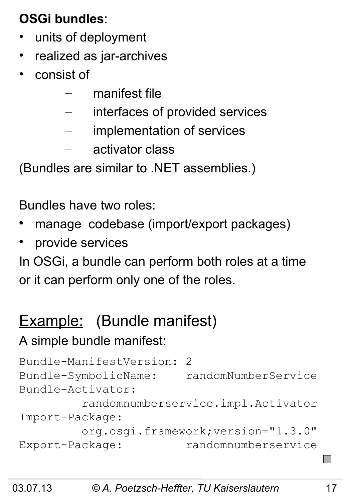### **OSGi bundles**:

- units of deployment
- realized as jar-archives
- consist of
	- manifest file
	- interfaces of provided services
	- implementation of services
	- activator class

(Bundles are similar to .NET assemblies.)

Bundles have two roles:

- manage codebase (import/export packages)
- provide services

In OSGi, a bundle can perform both roles at a time or it can perform only one of the roles.

# Example: (Bundle manifest)

#### A simple bundle manifest:

```
Bundle-ManifestVersion: 2
Bundle-SymbolicName: randomNumberService
Bundle-Activator: 
          randomnumberservice.impl.Activator
Import-Package:
         org.osgi.framework;version="1.3.0"
Export-Package: randomnumberservice
```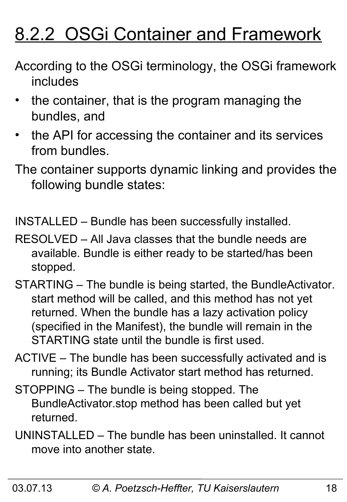# 8.2.2 OSGi Container and Framework

- According to the OSGi terminology, the OSGi framework includes
- the container, that is the program managing the bundles, and
- the API for accessing the container and its services from bundles.
- The container supports dynamic linking and provides the following bundle states:

INSTALLED – Bundle has been successfully installed.

- RESOLVED All Java classes that the bundle needs are available. Bundle is either ready to be started/has been stopped.
- STARTING The bundle is being started, the BundleActivator. start method will be called, and this method has not yet returned. When the bundle has a lazy activation policy (specified in the Manifest), the bundle will remain in the STARTING state until the bundle is first used.
- ACTIVE The bundle has been successfully activated and is running; its Bundle Activator start method has returned.
- STOPPING The bundle is being stopped. The BundleActivator.stop method has been called but yet returned.
- UNINSTALLED The bundle has been uninstalled. It cannot move into another state.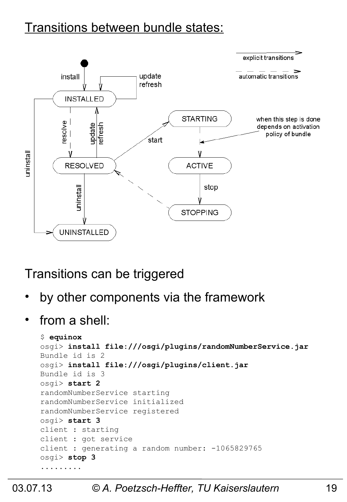#### Transitions between bundle states:



#### Transitions can be triggered

- by other components via the framework
- from a shell:

```
$ equinox
osgi> install file:///osgi/plugins/randomNumberService.jar
Bundle id is 2
osgi> install file:///osgi/plugins/client.jar
Bundle id is 3
osgi> start 2
randomNumberService starting
randomNumberService initialized
randomNumberService registered
osgi> start 3
client : starting
client : got service
client : generating a random number: -1065829765
osgi> stop 3
.........
```
#### 03.07.13 *© A. Poetzsch-Heffter, TU Kaiserslautern* 19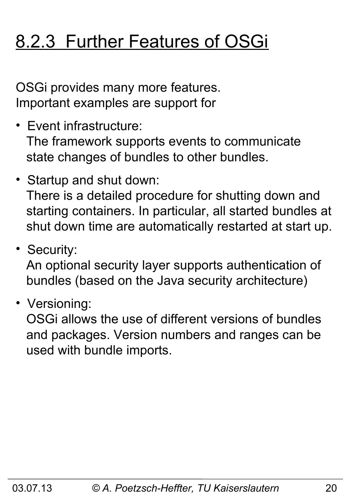# 8.2.3 Further Features of OSGi

OSGi provides many more features. Important examples are support for

- Event infrastructure: The framework supports events to communicate state changes of bundles to other bundles.
- Startup and shut down: There is a detailed procedure for shutting down and starting containers. In particular, all started bundles at shut down time are automatically restarted at start up.
- Security:

 An optional security layer supports authentication of bundles (based on the Java security architecture)

• Versioning:

 OSGi allows the use of different versions of bundles and packages. Version numbers and ranges can be used with bundle imports.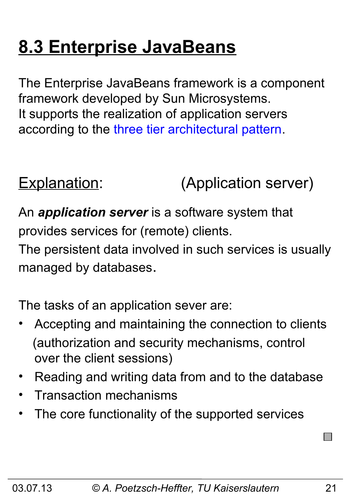# **8.3 Enterprise JavaBeans**

The Enterprise JavaBeans framework is a component framework developed by Sun Microsystems. It supports the realization of application servers according to the three tier architectural pattern.

Explanation: (Application server)

An *application server* is a software system that provides services for (remote) clients.

The persistent data involved in such services is usually managed by databases.

The tasks of an application sever are:

- Accepting and maintaining the connection to clients (authorization and security mechanisms, control over the client sessions)
- Reading and writing data from and to the database
- Transaction mechanisms
- The core functionality of the supported services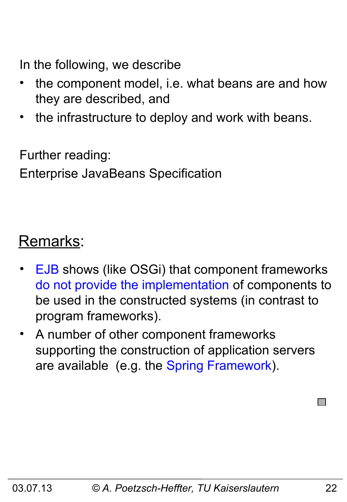In the following, we describe

- the component model, i.e. what beans are and how they are described, and
- the infrastructure to deploy and work with beans.

Further reading:

Enterprise JavaBeans Specification

### Remarks:

- EJB shows (like OSGi) that component frameworks do not provide the implementation of components to be used in the constructed systems (in contrast to program frameworks).
- A number of other component frameworks supporting the construction of application servers are available (e.g. the Spring Framework).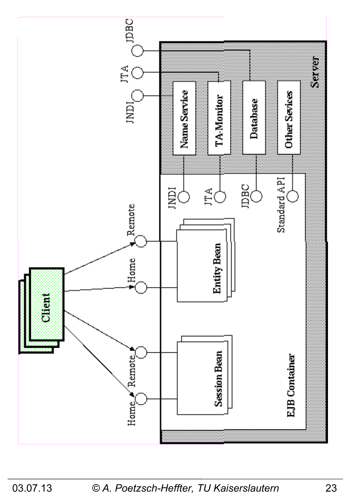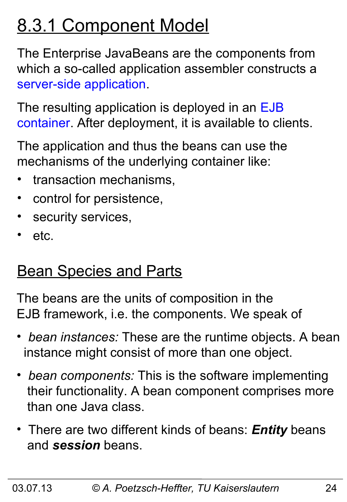# 8.3.1 Component Model

The Enterprise JavaBeans are the components from which a so-called application assembler constructs a server-side application.

The resulting application is deployed in an EJB container. After deployment, it is available to clients.

The application and thus the beans can use the mechanisms of the underlying container like:

- transaction mechanisms,
- control for persistence,
- security services,
- etc.

# **Bean Species and Parts**

The beans are the units of composition in the EJB framework, i.e. the components. We speak of

- • *bean instances:* These are the runtime objects. A bean instance might consist of more than one object.
- • *bean components:* This is the software implementing their functionality. A bean component comprises more than one Java class.
- There are two different kinds of beans: *Entity* beans and *session* beans.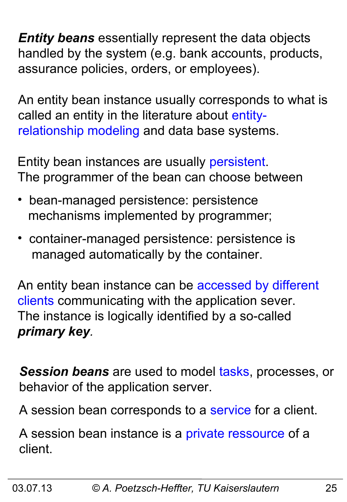*Entity beans* essentially represent the data objects handled by the system (e.g. bank accounts, products, assurance policies, orders, or employees).

An entity bean instance usually corresponds to what is called an entity in the literature about entityrelationship modeling and data base systems.

Entity bean instances are usually persistent. The programmer of the bean can choose between

- bean-managed persistence: persistence mechanisms implemented by programmer;
- container-managed persistence: persistence is managed automatically by the container.

An entity bean instance can be accessed by different clients communicating with the application sever. The instance is logically identified by a so-called *primary key.*

*Session beans* are used to model tasks, processes, or behavior of the application server.

A session bean corresponds to a service for a client.

A session bean instance is a private ressource of a client.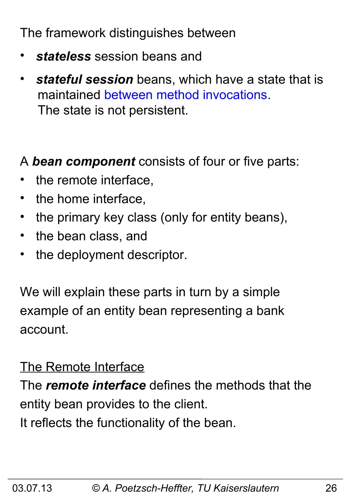The framework distinguishes between

- *stateless* session beans and
- *stateful session* beans, which have a state that is maintained between method invocations. The state is not persistent.

A *bean component* consists of four or five parts:

- the remote interface,
- the home interface,
- the primary key class (only for entity beans),
- the bean class, and
- the deployment descriptor.

We will explain these parts in turn by a simple example of an entity bean representing a bank account.

#### The Remote Interface

The *remote interface* defines the methods that the entity bean provides to the client. It reflects the functionality of the bean.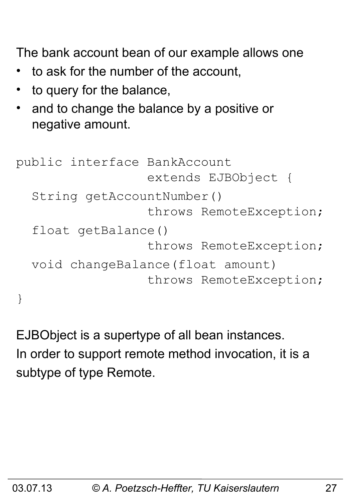The bank account bean of our example allows one

- to ask for the number of the account,
- to query for the balance,
- and to change the balance by a positive or negative amount.

```
public interface BankAccount 
                   extends EJBObject {
   String getAccountNumber()
                   throws RemoteException;
   float getBalance() 
                   throws RemoteException;
   void changeBalance(float amount) 
                   throws RemoteException;
}
```
EJBObject is a supertype of all bean instances. In order to support remote method invocation, it is a subtype of type Remote.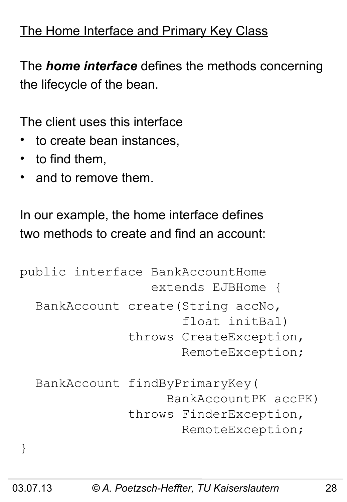#### The Home Interface and Primary Key Class

The *home interface* defines the methods concerning the lifecycle of the bean.

The client uses this interface

- to create bean instances.
- to find them,
- and to remove them.

In our example, the home interface defines two methods to create and find an account:

```
public interface BankAccountHome 
                   extends EJBHome {
   BankAccount create(String accNo, 
                        float initBal)
                throws CreateException, 
                        RemoteException;
   BankAccount findByPrimaryKey(
                      BankAccountPK accPK)
                throws FinderException, 
                        RemoteException;
}
```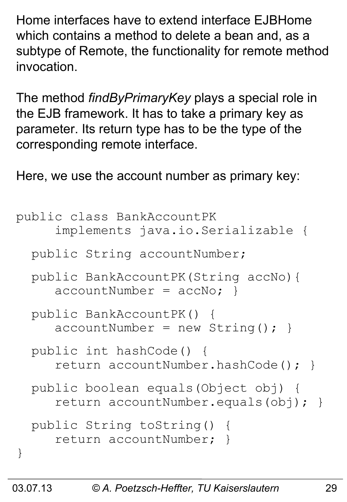Home interfaces have to extend interface EJBHome which contains a method to delete a bean and, as a subtype of Remote, the functionality for remote method invocation.

The method *findByPrimaryKey* plays a special role in the EJB framework. It has to take a primary key as parameter. Its return type has to be the type of the corresponding remote interface.

Here, we use the account number as primary key:

```
public class BankAccountPK 
      implements java.io.Serializable {
   public String accountNumber;
   public BankAccountPK(String accNo){ 
     \text{accountNumber} = \text{accNo:} public BankAccountPK() { 
     accountNumber = new String(); }
   public int hashCode() {
      return accountNumber.hashCode(); }
   public boolean equals(Object obj) {
      return accountNumber.equals(obj); }
   public String toString() { 
      return accountNumber; }
}
```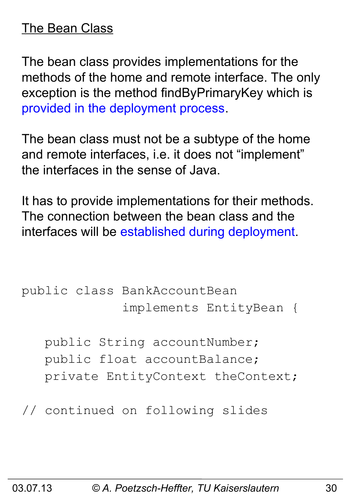#### The Bean Class

The bean class provides implementations for the methods of the home and remote interface. The only exception is the method findByPrimaryKey which is provided in the deployment process.

The bean class must not be a subtype of the home and remote interfaces, i.e. it does not "implement" the interfaces in the sense of Java.

It has to provide implementations for their methods. The connection between the bean class and the interfaces will be established during deployment.

```
public class BankAccountBean 
               implements EntityBean {
```
 public String accountNumber; public float accountBalance; private EntityContext theContext;

// continued on following slides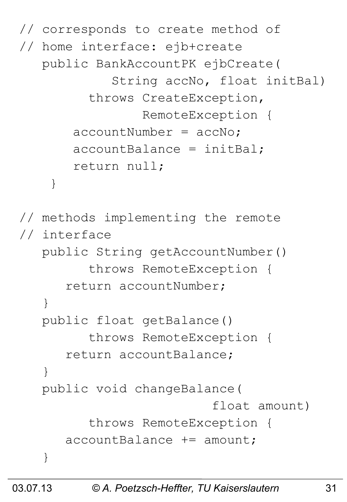```
// corresponds to create method of 
// home interface: ejb+create
    public BankAccountPK ejbCreate(
              String accNo, float initBal)
          throws CreateException, 
                  RemoteException {
       acccountNumber = accNo; accountBalance = initBal;
        return null;
     }
// methods implementing the remote
// interface
    public String getAccountNumber()
          throws RemoteException {
       return accountNumber;
    }
    public float getBalance() 
          throws RemoteException {
       return accountBalance;
 }
    public void changeBalance(
                            float amount) 
          throws RemoteException {
       accountBalance += amount;
    }
```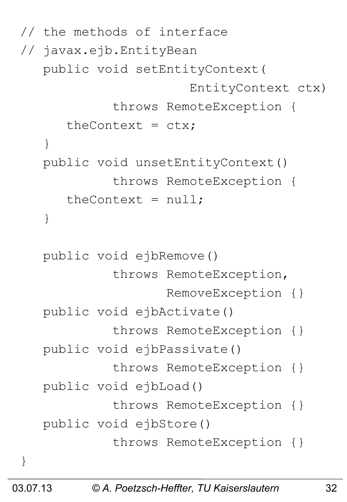```
// the methods of interface 
// javax.ejb.EntityBean
    public void setEntityContext(
                         EntityContext ctx)
              throws RemoteException {
      theContext = ctx;
    }
    public void unsetEntityContext()
              throws RemoteException {
      theContext = null; }
    public void ejbRemove() 
              throws RemoteException, 
                     RemoveException {}
    public void ejbActivate()
              throws RemoteException {}
    public void ejbPassivate() 
              throws RemoteException {}
    public void ejbLoad() 
              throws RemoteException {}
    public void ejbStore() 
              throws RemoteException {}
}
```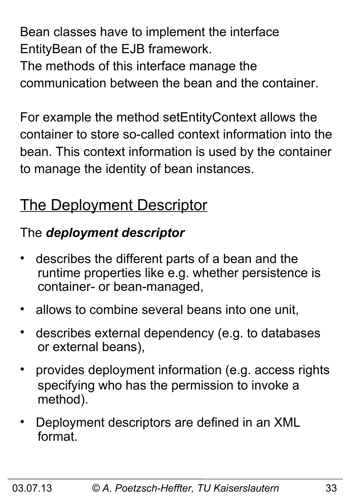Bean classes have to implement the interface EntityBean of the EJB framework.

The methods of this interface manage the communication between the bean and the container.

For example the method setEntityContext allows the container to store so-called context information into the bean. This context information is used by the container to manage the identity of bean instances.

### **The Deployment Descriptor**

### The *deployment descriptor*

- describes the different parts of a bean and the runtime properties like e.g. whether persistence is container- or bean-managed,
- allows to combine several beans into one unit,
- describes external dependency (e.g. to databases or external beans),
- provides deployment information (e.g. access rights specifying who has the permission to invoke a method).
- Deployment descriptors are defined in an XML format.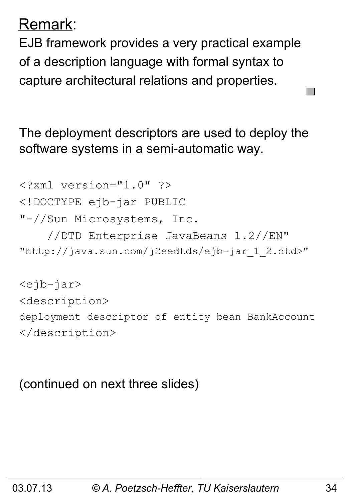### Remark:

EJB framework provides a very practical example of a description language with formal syntax to capture architectural relations and properties.

The deployment descriptors are used to deploy the software systems in a semi-automatic way.

```
<?xml version="1.0" ?>
<!DOCTYPE ejb-jar PUBLIC
"-//Sun Microsystems, Inc.
     //DTD Enterprise JavaBeans 1.2//EN"
"http://java.sun.com/j2eedtds/ejb-jar_1_2.dtd>"
<ejb-jar>
```
<description> deployment descriptor of entity bean BankAccount </description>

(continued on next three slides)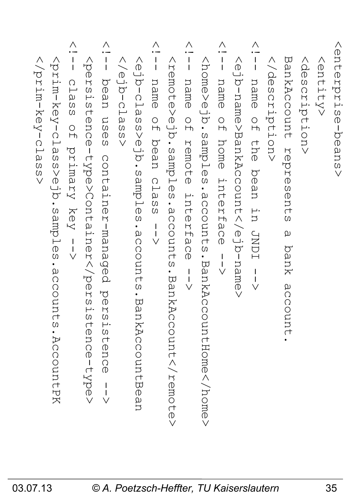| $\boldsymbol{\omega}$<br>$\vee$                                                                                                                                                                  |  |
|--------------------------------------------------------------------------------------------------------------------------------------------------------------------------------------------------|--|
| kprim-key-clas<br>s>ejb.samples.account<br>$\omega$<br>AccountPK.                                                                                                                                |  |
| $\wedge$<br>$\frac{1}{1}$<br>$\bigcap$<br>$\overline{\phantom{0}}$<br>$\omega$<br>$\Omega$<br>$\Omega$<br>$\circ$<br>$\overline{H}$<br>.<br>ෆ<br>Vimary<br>$X \ominus Y$<br>$\frac{1}{\sqrt{ }}$ |  |
| <b>Kpers</b><br>istence-type>Containertence-type>                                                                                                                                                |  |
| $\wedge$<br>$\frac{1}{1}$<br>hean<br>$\square$<br>$\omega$<br>$\circledR$<br>$\overline{0}$<br>container-managed<br>pers<br>istence                                                              |  |
| selo-die/><br>$\Omega$<br>$\vee$                                                                                                                                                                 |  |
| sala-dias<br>s>ejb.samples.accounts.Ban<br>kAccountBea                                                                                                                                           |  |
| Λ<br>$\frac{1}{1}$<br>name<br>$\frac{1}{2}$<br>hean<br>cla.<br>$\Omega$<br>$\Omega$<br>$\frac{1}{1}$<br>$\bigvee$                                                                                |  |
| sample>elples.comp<br>$\frac{1}{2}$<br>counts.BankAc<br>count <td></td>                                                                                                                          |  |
| Λ<br>$\frac{1}{1}$<br>name<br>$\frac{0}{1}$<br>remote<br>Interf<br>a<br>O<br>$\mathcal{D}$<br>$\begin{array}{c}\n1 \\ 1 \\ \vee\n\end{array}$                                                    |  |
| <br>same>eJdasples<br>$\frac{1}{2}$<br>counts<br>                                                                                                                                                |  |
| Λ<br>$\frac{1}{1}$<br>name<br>$\frac{0}{1}$<br>home<br>interfac<br>$\overline{0}$<br>$\frac{1}{\sqrt{2}}$                                                                                        |  |
| <ejb-name>BankAccount<td></td></ejb-name>                                                                                                                                                        |  |
| Λ<br>$\frac{1}{1}$<br>name<br>$\frac{1}{2}$<br>the bean<br>in.<br>TUNDI<br>$\frac{1}{\sqrt{2}}$                                                                                                  |  |
|                                                                                                                                                                                                  |  |
| BankAccount<br>represents<br>$\omega$<br>bank<br>accon<br>n<br>1                                                                                                                                 |  |
| NQ<br>O<br>S<br>C<br>ription>                                                                                                                                                                    |  |
| <entity></entity>                                                                                                                                                                                |  |
| <enterprisens></enterprisens>                                                                                                                                                                    |  |

 $\overline{\mathsf{t}}$ e  $\vee$ 

**N** 

 $\Xi$  $\overline{\mathbb{D}}$  $\vee$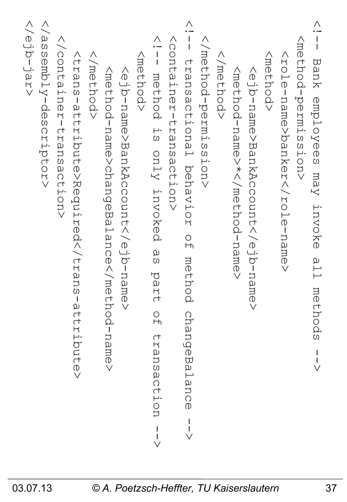| >prodity-descriptor><br><rejb-jar><br/><b>Y/COntainer-transaction&gt;</b><br/><trans-attribute>Required</trans-attribute><br/><br <br=""/> method&gt;<br/><method-name>changeBalance</method-name><br/><ejb-name>BankAccount<th><math display="block">\frac{1}{1}</math><br><b>NORTEBRUSBOCTIONS</b><br/><method><br/>method is only invoked<br/>α<br/>Θ<br/>part<br/><math>\frac{0}{1}</math><br/>transaction</method></br></th><th><math>\frac{\wedge}{\sqrt{1}}</math><br/><br/> refrod-permission&gt;<br/>transactional behavior<br/><br <br=""> method&gt;<br/><math>\frac{1}{2}</math><br/>method<br>changeBalance</br></br></th><th><nethod><br/><mのf amの="" hod="" n="" –=""> *&lt; / mのf hod – n amの&gt;<br/><ejb-name>BankAccount</ejb-name></mのf></nethod></th><th>&lt; -<br/>- I<br/>- I<br/><nethod-permission><br/>Bank employees may invoke<br/><role-name>banker</role-name><br/>all.<br/>methods</nethod-permission></th></ejb-name></rejb-jar> | $\frac{1}{1}$<br> | $\frac{\wedge}{\sqrt{1}}$<br><br>refrod-permission><br>transactional behavior<br><br> | <nethod><br/><mのf amの="" hod="" n="" –=""> *&lt; / mのf hod – n amの&gt;<br/><ejb-name>BankAccount</ejb-name></mのf></nethod> | < -<br>- I<br>- I<br><nethod-permission><br/>Bank employees may invoke<br/><role-name>banker</role-name><br/>all.<br/>methods</nethod-permission> |
|------------------------------------------------------------------------------------------------------------------------------------------------------------------------------------------------------------------------------------------------------------------------------------------------------------------------------------------------------------------------------------------------------------------------------------------------------------------------------------------------------------------------------------------------------------------------------------------------------------------------------------------------------------------------------------------------------------------------------------------------------------------------------------------------------------------------------------------------------------------------------------------------------------------------------------------------------------------|-------------------|---------------------------------------------------------------------------------------|----------------------------------------------------------------------------------------------------------------------------|---------------------------------------------------------------------------------------------------------------------------------------------------|
|------------------------------------------------------------------------------------------------------------------------------------------------------------------------------------------------------------------------------------------------------------------------------------------------------------------------------------------------------------------------------------------------------------------------------------------------------------------------------------------------------------------------------------------------------------------------------------------------------------------------------------------------------------------------------------------------------------------------------------------------------------------------------------------------------------------------------------------------------------------------------------------------------------------------------------------------------------------|-------------------|---------------------------------------------------------------------------------------|----------------------------------------------------------------------------------------------------------------------------|---------------------------------------------------------------------------------------------------------------------------------------------------|

 $\vee$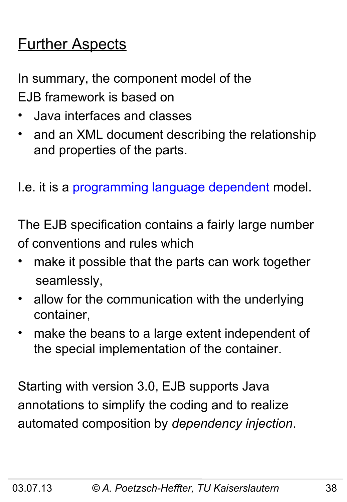# **Further Aspects**

In summary, the component model of the EJB framework is based on

- Java interfaces and classes
- and an XML document describing the relationship and properties of the parts.

I.e. it is a programming language dependent model.

The EJB specification contains a fairly large number of conventions and rules which

- make it possible that the parts can work together seamlessly,
- allow for the communication with the underlying container,
- make the beans to a large extent independent of the special implementation of the container.

Starting with version 3.0, EJB supports Java annotations to simplify the coding and to realize automated composition by *dependency injection*.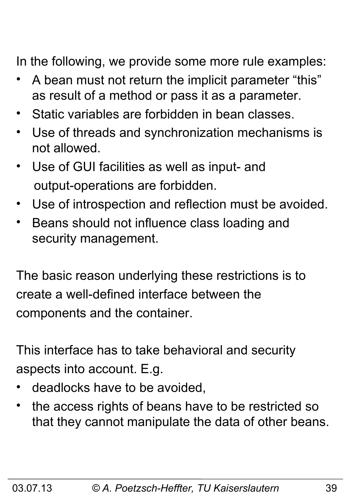In the following, we provide some more rule examples:

- A bean must not return the implicit parameter "this" as result of a method or pass it as a parameter.
- Static variables are forbidden in bean classes.
- Use of threads and synchronization mechanisms is not allowed.
- Use of GUI facilities as well as input- and output-operations are forbidden.
- Use of introspection and reflection must be avoided.
- Beans should not influence class loading and security management.

The basic reason underlying these restrictions is to create a well-defined interface between the components and the container.

This interface has to take behavioral and security aspects into account. E.g.

- deadlocks have to be avoided,
- the access rights of beans have to be restricted so that they cannot manipulate the data of other beans.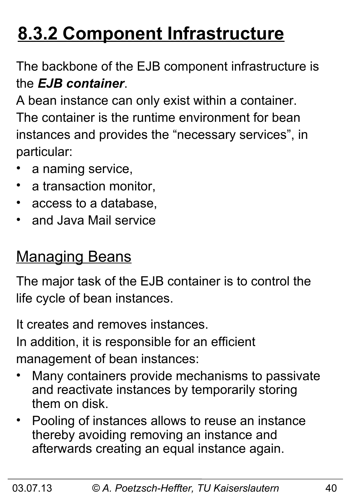# **8.3.2 Component Infrastructure**

The backbone of the EJB component infrastructure is the *EJB container*.

A bean instance can only exist within a container. The container is the runtime environment for bean instances and provides the "necessary services", in particular:

- a naming service,
- a transaction monitor,
- access to a database,
- and Java Mail service

### **Managing Beans**

The major task of the EJB container is to control the life cycle of bean instances.

It creates and removes instances.

In addition, it is responsible for an efficient management of bean instances:

- Many containers provide mechanisms to passivate and reactivate instances by temporarily storing them on disk.
- Pooling of instances allows to reuse an instance thereby avoiding removing an instance and afterwards creating an equal instance again.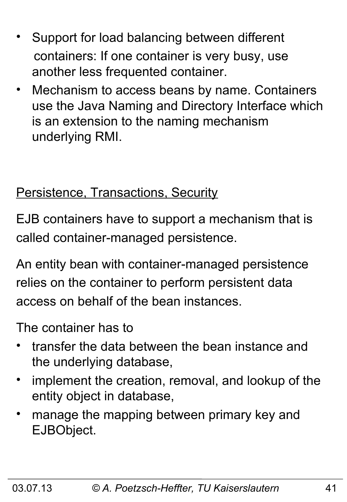- Support for load balancing between different containers: If one container is very busy, use another less frequented container.
- Mechanism to access beans by name. Containers use the Java Naming and Directory Interface which is an extension to the naming mechanism underlying RMI.

#### Persistence, Transactions, Security

EJB containers have to support a mechanism that is called container-managed persistence.

An entity bean with container-managed persistence relies on the container to perform persistent data access on behalf of the bean instances.

The container has to

- transfer the data between the bean instance and the underlying database,
- implement the creation, removal, and lookup of the entity object in database,
- manage the mapping between primary key and EJBObject.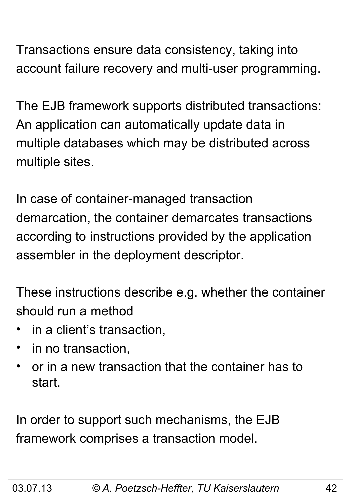Transactions ensure data consistency, taking into account failure recovery and multi-user programming.

The EJB framework supports distributed transactions: An application can automatically update data in multiple databases which may be distributed across multiple sites.

In case of container-managed transaction demarcation, the container demarcates transactions according to instructions provided by the application assembler in the deployment descriptor.

These instructions describe e.g. whether the container should run a method

- in a client's transaction,
- in no transaction,
- or in a new transaction that the container has to start.

In order to support such mechanisms, the EJB framework comprises a transaction model.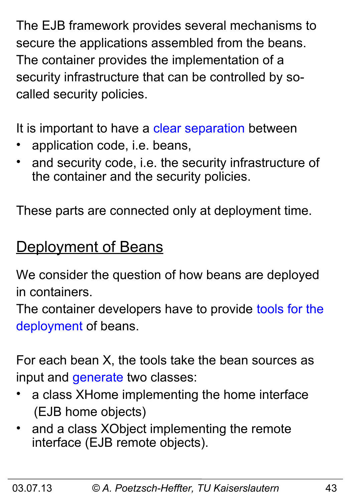The EJB framework provides several mechanisms to secure the applications assembled from the beans. The container provides the implementation of a security infrastructure that can be controlled by socalled security policies.

It is important to have a clear separation between

- application code, i.e. beans,
- and security code, i.e. the security infrastructure of the container and the security policies.

These parts are connected only at deployment time.

### **Deployment of Beans**

We consider the question of how beans are deployed in containers.

The container developers have to provide tools for the deployment of beans.

For each bean X, the tools take the bean sources as input and generate two classes:

- a class XHome implementing the home interface (EJB home objects)
- and a class XObject implementing the remote interface (EJB remote objects).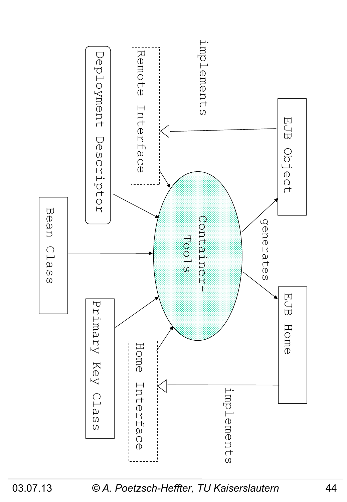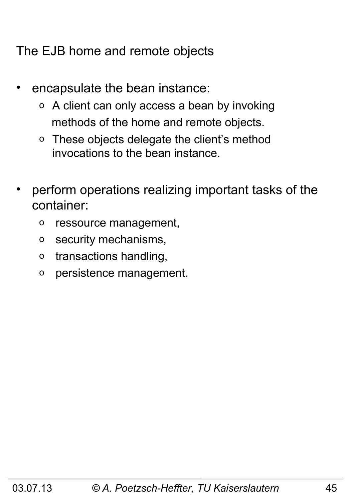The EJB home and remote objects

- encapsulate the bean instance:
	- o A client can only access a bean by invoking methods of the home and remote objects.
	- o These objects delegate the client's method invocations to the bean instance.
- perform operations realizing important tasks of the container:
	- o ressource management,
	- o security mechanisms,
	- o transactions handling,
	- o persistence management.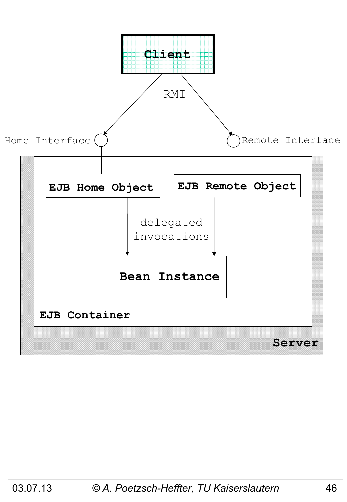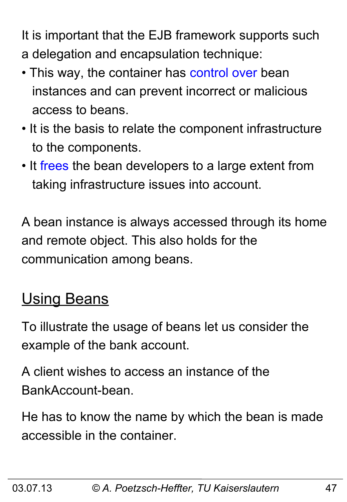It is important that the EJB framework supports such a delegation and encapsulation technique:

- This way, the container has control over bean instances and can prevent incorrect or malicious access to beans.
- It is the basis to relate the component infrastructure to the components.
- It frees the bean developers to a large extent from taking infrastructure issues into account.

A bean instance is always accessed through its home and remote object. This also holds for the communication among beans.

# **Using Beans**

To illustrate the usage of beans let us consider the example of the bank account.

A client wishes to access an instance of the BankAccount-bean.

He has to know the name by which the bean is made accessible in the container.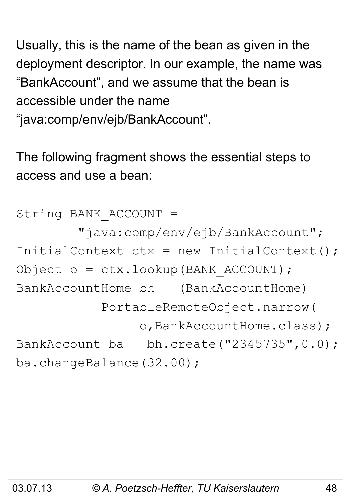Usually, this is the name of the bean as given in the deployment descriptor. In our example, the name was "BankAccount", and we assume that the bean is accessible under the name

"java:comp/env/ejb/BankAccount".

The following fragment shows the essential steps to access and use a bean:

String BANK\_ACCOUNT = "java:comp/env/ejb/BankAccount"; InitialContext  $ctx = new InitialContext()$ ; Object o = ctx.lookup(BANK\_ACCOUNT);  $BankAccountHome bh = (BankAccountHome)$  PortableRemoteObject.narrow( o, BankAccountHome.class); BankAccount ba = bh.create("2345735",  $0.0$ ); ba.changeBalance(32.00);